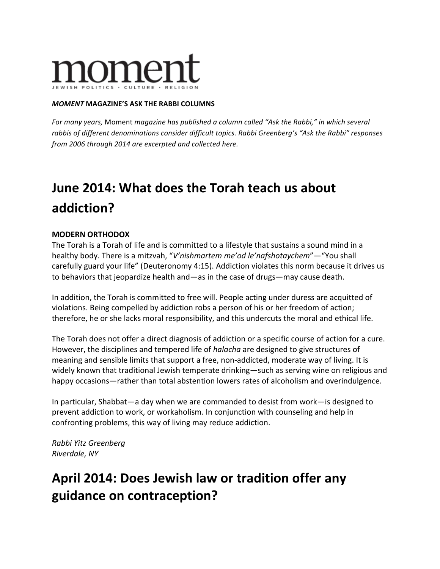

#### *MOMENT* **MAGAZINE'S ASK THE RABBI COLUMNS**

For many years, Moment magazine has published a column called "Ask the Rabbi," in which several rabbis of different denominations consider difficult topics. Rabbi Greenberg's "Ask the Rabbi" responses *from 2006 through 2014 are excerpted and collected here.*

# **June 2014: What does the Torah teach us about addiction?**

#### **MODERN ORTHODOX**

The Torah is a Torah of life and is committed to a lifestyle that sustains a sound mind in a healthy body. There is a mitzvah, "*V'nishmartem me'od le'nafshotaychem*"—"You shall carefully guard your life" (Deuteronomy 4:15). Addiction violates this norm because it drives us to behaviors that jeopardize health and—as in the case of drugs—may cause death.

In addition, the Torah is committed to free will. People acting under duress are acquitted of violations. Being compelled by addiction robs a person of his or her freedom of action; therefore, he or she lacks moral responsibility, and this undercuts the moral and ethical life.

The Torah does not offer a direct diagnosis of addiction or a specific course of action for a cure. However, the disciplines and tempered life of *halacha* are designed to give structures of meaning and sensible limits that support a free, non-addicted, moderate way of living. It is widely known that traditional Jewish temperate drinking—such as serving wine on religious and happy occasions—rather than total abstention lowers rates of alcoholism and overindulgence.

In particular, Shabbat—a day when we are commanded to desist from work—is designed to prevent addiction to work, or workaholism. In conjunction with counseling and help in confronting problems, this way of living may reduce addiction.

*Rabbi Yitz Greenberg Riverdale, NY*

## April 2014: Does Jewish law or tradition offer any **guidance on contraception?**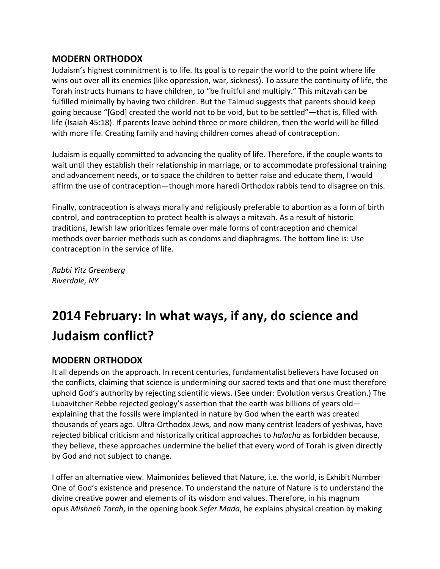### **MODERN ORTHODOX**

Judaism's highest commitment is to life. Its goal is to repair the world to the point where life wins out over all its enemies (like oppression, war, sickness). To assure the continuity of life, the Torah instructs humans to have children, to "be fruitful and multiply." This mitzvah can be fulfilled minimally by having two children. But the Talmud suggests that parents should keep going because "[God] created the world not to be void, but to be settled"—that is, filled with life (Isaiah 45:18). If parents leave behind three or more children, then the world will be filled with more life. Creating family and having children comes ahead of contraception.

Judaism is equally committed to advancing the quality of life. Therefore, if the couple wants to wait until they establish their relationship in marriage, or to accommodate professional training and advancement needs, or to space the children to better raise and educate them, I would affirm the use of contraception—though more haredi Orthodox rabbis tend to disagree on this.

Finally, contraception is always morally and religiously preferable to abortion as a form of birth control, and contraception to protect health is always a mitzvah. As a result of historic traditions, Jewish law prioritizes female over male forms of contraception and chemical methods over barrier methods such as condoms and diaphragms. The bottom line is: Use contraception in the service of life.

*Rabbi Yitz Greenberg Riverdale, NY*

# **2014 February: In what ways, if any, do science and Judaism conflict?**

### **MODERN ORTHODOX**

It all depends on the approach. In recent centuries, fundamentalist believers have focused on the conflicts, claiming that science is undermining our sacred texts and that one must therefore uphold God's authority by rejecting scientific views. (See under: Evolution versus Creation.) The Lubavitcher Rebbe rejected geology's assertion that the earth was billions of years old explaining that the fossils were implanted in nature by God when the earth was created thousands of years ago. Ultra-Orthodox Jews, and now many centrist leaders of yeshivas, have rejected biblical criticism and historically critical approaches to *halacha* as forbidden because, they believe, these approaches undermine the belief that every word of Torah is given directly by God and not subject to change.

I offer an alternative view. Maimonides believed that Nature, i.e. the world, is Exhibit Number One of God's existence and presence. To understand the nature of Nature is to understand the divine creative power and elements of its wisdom and values. Therefore, in his magnum opus *Mishneh Torah*, in the opening book *Sefer Mada*, he explains physical creation by making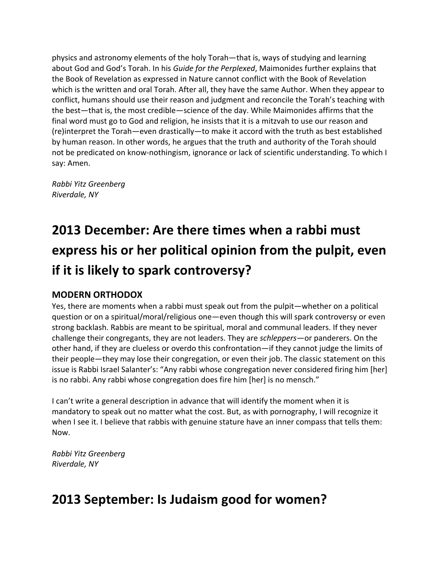physics and astronomy elements of the holy Torah—that is, ways of studying and learning about God and God's Torah. In his *Guide for the Perplexed*, Maimonides further explains that the Book of Revelation as expressed in Nature cannot conflict with the Book of Revelation which is the written and oral Torah. After all, they have the same Author. When they appear to conflict, humans should use their reason and judgment and reconcile the Torah's teaching with the best-that is, the most credible-science of the day. While Maimonides affirms that the final word must go to God and religion, he insists that it is a mitzvah to use our reason and (re)interpret the Torah—even drastically—to make it accord with the truth as best established by human reason. In other words, he argues that the truth and authority of the Torah should not be predicated on know-nothingism, ignorance or lack of scientific understanding. To which I say: Amen.

*Rabbi Yitz Greenberg Riverdale, NY*

# **2013 December: Are there times when a rabbi must express his or her political opinion from the pulpit, even if it is likely to spark controversy?**

### **MODERN ORTHODOX**

Yes, there are moments when a rabbi must speak out from the pulpit—whether on a political question or on a spiritual/moral/religious one—even though this will spark controversy or even strong backlash. Rabbis are meant to be spiritual, moral and communal leaders. If they never challenge their congregants, they are not leaders. They are *schleppers*—or panderers. On the other hand, if they are clueless or overdo this confrontation—if they cannot judge the limits of their people—they may lose their congregation, or even their job. The classic statement on this issue is Rabbi Israel Salanter's: "Any rabbi whose congregation never considered firing him [her] is no rabbi. Any rabbi whose congregation does fire him [her] is no mensch."

I can't write a general description in advance that will identify the moment when it is mandatory to speak out no matter what the cost. But, as with pornography, I will recognize it when I see it. I believe that rabbis with genuine stature have an inner compass that tells them: Now.

*Rabbi Yitz Greenberg Riverdale, NY*

## **2013 September: Is Judaism good for women?**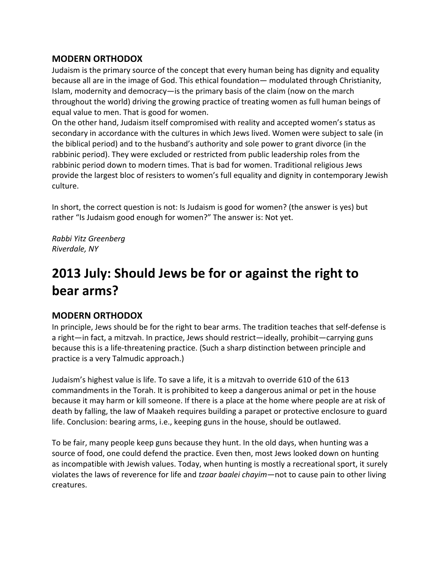#### **MODERN ORTHODOX**

Judaism is the primary source of the concept that every human being has dignity and equality because all are in the image of God. This ethical foundation— modulated through Christianity, Islam, modernity and democracy—is the primary basis of the claim (now on the march throughout the world) driving the growing practice of treating women as full human beings of equal value to men. That is good for women.

On the other hand, Judaism itself compromised with reality and accepted women's status as secondary in accordance with the cultures in which Jews lived. Women were subject to sale (in the biblical period) and to the husband's authority and sole power to grant divorce (in the rabbinic period). They were excluded or restricted from public leadership roles from the rabbinic period down to modern times. That is bad for women. Traditional religious Jews provide the largest bloc of resisters to women's full equality and dignity in contemporary Jewish culture.

In short, the correct question is not: Is Judaism is good for women? (the answer is yes) but rather "Is Judaism good enough for women?" The answer is: Not yet.

*Rabbi Yitz Greenberg Riverdale, NY*

## **2013 July: Should Jews be for or against the right to bear arms?**

### **MODERN ORTHODOX**

In principle, Jews should be for the right to bear arms. The tradition teaches that self-defense is a right—in fact, a mitzvah. In practice, Jews should restrict—ideally, prohibit—carrying guns because this is a life-threatening practice. (Such a sharp distinction between principle and practice is a very Talmudic approach.)

Judaism's highest value is life. To save a life, it is a mitzvah to override 610 of the 613 commandments in the Torah. It is prohibited to keep a dangerous animal or pet in the house because it may harm or kill someone. If there is a place at the home where people are at risk of death by falling, the law of Maakeh requires building a parapet or protective enclosure to guard life. Conclusion: bearing arms, i.e., keeping guns in the house, should be outlawed.

To be fair, many people keep guns because they hunt. In the old days, when hunting was a source of food, one could defend the practice. Even then, most Jews looked down on hunting as incompatible with Jewish values. Today, when hunting is mostly a recreational sport, it surely violates the laws of reverence for life and *tzaar baalei chayim*—not to cause pain to other living creatures.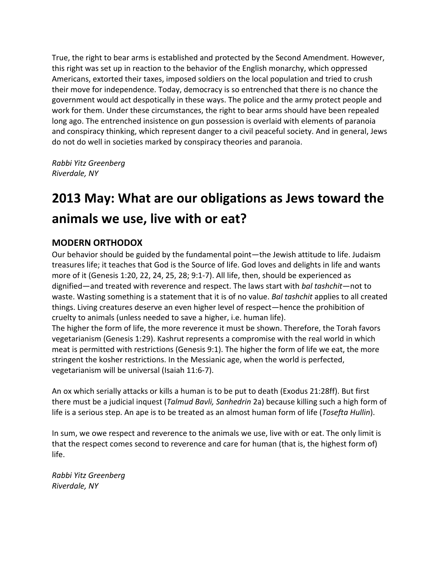True, the right to bear arms is established and protected by the Second Amendment. However, this right was set up in reaction to the behavior of the English monarchy, which oppressed Americans, extorted their taxes, imposed soldiers on the local population and tried to crush their move for independence. Today, democracy is so entrenched that there is no chance the government would act despotically in these ways. The police and the army protect people and work for them. Under these circumstances, the right to bear arms should have been repealed long ago. The entrenched insistence on gun possession is overlaid with elements of paranoia and conspiracy thinking, which represent danger to a civil peaceful society. And in general, Jews do not do well in societies marked by conspiracy theories and paranoia.

*Rabbi Yitz Greenberg Riverdale, NY*

# **2013 May: What are our obligations as Jews toward the** animals we use, live with or eat?

### **MODERN ORTHODOX**

Our behavior should be guided by the fundamental point—the Jewish attitude to life. Judaism treasures life; it teaches that God is the Source of life. God loves and delights in life and wants more of it (Genesis 1:20, 22, 24, 25, 28; 9:1-7). All life, then, should be experienced as dignified—and treated with reverence and respect. The laws start with *bal tashchit*—not to waste. Wasting something is a statement that it is of no value. *Bal tashchit* applies to all created things. Living creatures deserve an even higher level of respect—hence the prohibition of cruelty to animals (unless needed to save a higher, i.e. human life). The higher the form of life, the more reverence it must be shown. Therefore, the Torah favors

vegetarianism (Genesis 1:29). Kashrut represents a compromise with the real world in which meat is permitted with restrictions (Genesis 9:1). The higher the form of life we eat, the more stringent the kosher restrictions. In the Messianic age, when the world is perfected, vegetarianism will be universal (Isaiah 11:6-7).

An ox which serially attacks or kills a human is to be put to death (Exodus 21:28ff). But first there must be a judicial inquest (*Talmud Bavli, Sanhedrin* 2a) because killing such a high form of life is a serious step. An ape is to be treated as an almost human form of life (*Tosefta Hullin*).

In sum, we owe respect and reverence to the animals we use, live with or eat. The only limit is that the respect comes second to reverence and care for human (that is, the highest form of) life.

*Rabbi Yitz Greenberg Riverdale, NY*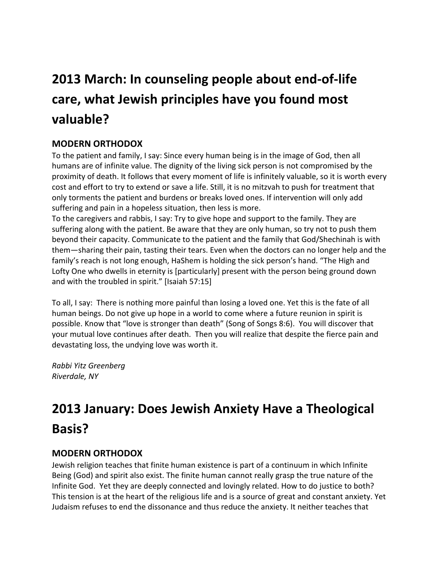# **2013 March: In counseling people about end-of-life** care, what Jewish principles have you found most **valuable?**

### **MODERN ORTHODOX**

To the patient and family, I say: Since every human being is in the image of God, then all humans are of infinite value. The dignity of the living sick person is not compromised by the proximity of death. It follows that every moment of life is infinitely valuable, so it is worth every cost and effort to try to extend or save a life. Still, it is no mitzvah to push for treatment that only torments the patient and burdens or breaks loved ones. If intervention will only add suffering and pain in a hopeless situation, then less is more.

To the caregivers and rabbis, I say: Try to give hope and support to the family. They are suffering along with the patient. Be aware that they are only human, so try not to push them beyond their capacity. Communicate to the patient and the family that God/Shechinah is with them—sharing their pain, tasting their tears. Even when the doctors can no longer help and the family's reach is not long enough, HaShem is holding the sick person's hand. "The High and Lofty One who dwells in eternity is [particularly] present with the person being ground down and with the troubled in spirit." [Isaiah 57:15]

To all, I say: There is nothing more painful than losing a loved one. Yet this is the fate of all human beings. Do not give up hope in a world to come where a future reunion in spirit is possible. Know that "love is stronger than death" (Song of Songs 8:6). You will discover that your mutual love continues after death. Then you will realize that despite the fierce pain and devastating loss, the undying love was worth it.

*Rabbi Yitz Greenberg Riverdale, NY*

# **2013 January: Does Jewish Anxiety Have a Theological Basis?**

### **MODERN ORTHODOX**

Jewish religion teaches that finite human existence is part of a continuum in which Infinite Being (God) and spirit also exist. The finite human cannot really grasp the true nature of the Infinite God. Yet they are deeply connected and lovingly related. How to do justice to both? This tension is at the heart of the religious life and is a source of great and constant anxiety. Yet Judaism refuses to end the dissonance and thus reduce the anxiety. It neither teaches that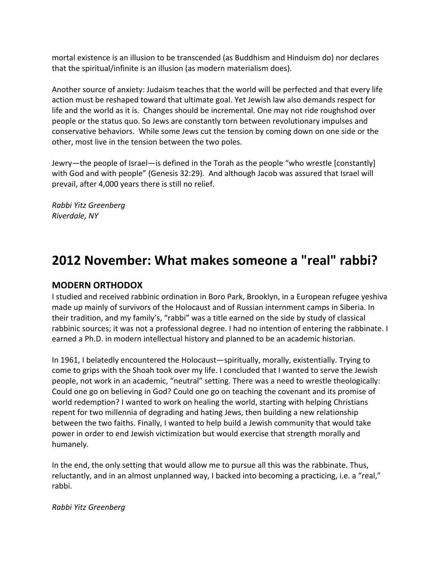mortal existence is an illusion to be transcended (as Buddhism and Hinduism do) nor declares that the spiritual/infinite is an illusion (as modern materialism does).

Another source of anxiety: Judaism teaches that the world will be perfected and that every life action must be reshaped toward that ultimate goal. Yet Jewish law also demands respect for life and the world as it is. Changes should be incremental. One may not ride roughshod over people or the status quo. So Jews are constantly torn between revolutionary impulses and conservative behaviors. While some Jews cut the tension by coming down on one side or the other, most live in the tension between the two poles.

Jewry—the people of Israel—is defined in the Torah as the people "who wrestle [constantly] with God and with people" (Genesis 32:29). And although Jacob was assured that Israel will prevail, after 4,000 years there is still no relief.

*Rabbi Yitz Greenberg Riverdale, NY*

## **2012 November: What makes someone a "real" rabbi?**

#### **MODERN ORTHODOX**

I studied and received rabbinic ordination in Boro Park, Brooklyn, in a European refugee yeshiva made up mainly of survivors of the Holocaust and of Russian internment camps in Siberia. In their tradition, and my family's, "rabbi" was a title earned on the side by study of classical rabbinic sources; it was not a professional degree. I had no intention of entering the rabbinate. I earned a Ph.D. in modern intellectual history and planned to be an academic historian.

In 1961, I belatedly encountered the Holocaust—spiritually, morally, existentially. Trying to come to grips with the Shoah took over my life. I concluded that I wanted to serve the Jewish people, not work in an academic, "neutral" setting. There was a need to wrestle theologically: Could one go on believing in God? Could one go on teaching the covenant and its promise of world redemption? I wanted to work on healing the world, starting with helping Christians repent for two millennia of degrading and hating Jews, then building a new relationship between the two faiths. Finally, I wanted to help build a Jewish community that would take power in order to end Jewish victimization but would exercise that strength morally and humanely.

In the end, the only setting that would allow me to pursue all this was the rabbinate. Thus, reluctantly, and in an almost unplanned way, I backed into becoming a practicing, i.e. a "real," rabbi.

#### *Rabbi Yitz Greenberg*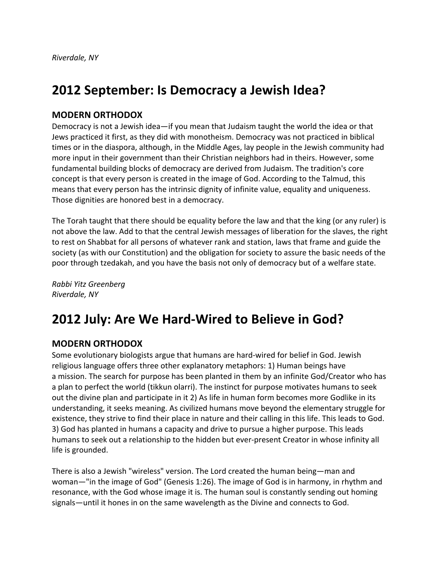## **2012 September: Is Democracy a Jewish Idea?**

#### **MODERN ORTHODOX**

Democracy is not a Jewish idea—if you mean that Judaism taught the world the idea or that Jews practiced it first, as they did with monotheism. Democracy was not practiced in biblical times or in the diaspora, although, in the Middle Ages, lay people in the Jewish community had more input in their government than their Christian neighbors had in theirs. However, some fundamental building blocks of democracy are derived from Judaism. The tradition's core concept is that every person is created in the image of God. According to the Talmud, this means that every person has the intrinsic dignity of infinite value, equality and uniqueness. Those dignities are honored best in a democracy.

The Torah taught that there should be equality before the law and that the king (or any ruler) is not above the law. Add to that the central Jewish messages of liberation for the slaves, the right to rest on Shabbat for all persons of whatever rank and station, laws that frame and guide the society (as with our Constitution) and the obligation for society to assure the basic needs of the poor through tzedakah, and you have the basis not only of democracy but of a welfare state.

*Rabbi Yitz Greenberg Riverdale, NY*

## **2012 July: Are We Hard-Wired to Believe in God?**

#### **MODERN ORTHODOX**

Some evolutionary biologists argue that humans are hard-wired for belief in God. Jewish religious language offers three other explanatory metaphors: 1) Human beings have a mission. The search for purpose has been planted in them by an infinite God/Creator who has a plan to perfect the world (tikkun olarri). The instinct for purpose motivates humans to seek out the divine plan and participate in it 2) As life in human form becomes more Godlike in its understanding, it seeks meaning. As civilized humans move beyond the elementary struggle for existence, they strive to find their place in nature and their calling in this life. This leads to God. 3) God has planted in humans a capacity and drive to pursue a higher purpose. This leads humans to seek out a relationship to the hidden but ever-present Creator in whose infinity all life is grounded.

There is also a Jewish "wireless" version. The Lord created the human being—man and woman—"in the image of God" (Genesis 1:26). The image of God is in harmony, in rhythm and resonance, with the God whose image it is. The human soul is constantly sending out homing signals—until it hones in on the same wavelength as the Divine and connects to God.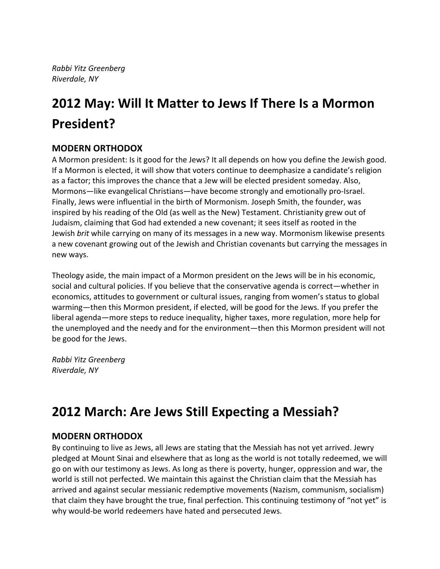*Rabbi Yitz Greenberg Riverdale, NY*

# **2012 May: Will It Matter to Jews If There Is a Mormon President?**

### **MODERN ORTHODOX**

A Mormon president: Is it good for the Jews? It all depends on how you define the Jewish good. If a Mormon is elected, it will show that voters continue to deemphasize a candidate's religion as a factor; this improves the chance that a Jew will be elected president someday. Also, Mormons—like evangelical Christians—have become strongly and emotionally pro-Israel. Finally, Jews were influential in the birth of Mormonism. Joseph Smith, the founder, was inspired by his reading of the Old (as well as the New) Testament. Christianity grew out of Judaism, claiming that God had extended a new covenant; it sees itself as rooted in the Jewish *brit* while carrying on many of its messages in a new way. Mormonism likewise presents a new covenant growing out of the Jewish and Christian covenants but carrying the messages in new ways.

Theology aside, the main impact of a Mormon president on the Jews will be in his economic, social and cultural policies. If you believe that the conservative agenda is correct—whether in economics, attitudes to government or cultural issues, ranging from women's status to global warming—then this Mormon president, if elected, will be good for the Jews. If you prefer the liberal agenda—more steps to reduce inequality, higher taxes, more regulation, more help for the unemployed and the needy and for the environment—then this Mormon president will not be good for the Jews.

*Rabbi Yitz Greenberg Riverdale, NY*

## **2012 March: Are Jews Still Expecting a Messiah?**

#### **MODERN ORTHODOX**

By continuing to live as Jews, all Jews are stating that the Messiah has not yet arrived. Jewry pledged at Mount Sinai and elsewhere that as long as the world is not totally redeemed, we will go on with our testimony as Jews. As long as there is poverty, hunger, oppression and war, the world is still not perfected. We maintain this against the Christian claim that the Messiah has arrived and against secular messianic redemptive movements (Nazism, communism, socialism) that claim they have brought the true, final perfection. This continuing testimony of "not yet" is why would-be world redeemers have hated and persecuted Jews.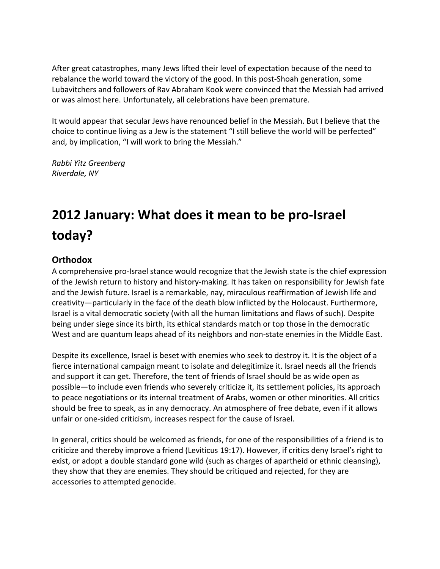After great catastrophes, many Jews lifted their level of expectation because of the need to rebalance the world toward the victory of the good. In this post-Shoah generation, some Lubavitchers and followers of Rav Abraham Kook were convinced that the Messiah had arrived or was almost here. Unfortunately, all celebrations have been premature.

It would appear that secular Jews have renounced belief in the Messiah. But I believe that the choice to continue living as a Jew is the statement "I still believe the world will be perfected" and, by implication, "I will work to bring the Messiah."

*Rabbi Yitz Greenberg Riverdale, NY*

# **2012 January: What does it mean to be pro-Israel today?**

### **Orthodox**

A comprehensive pro-Israel stance would recognize that the Jewish state is the chief expression of the Jewish return to history and history-making. It has taken on responsibility for Jewish fate and the Jewish future. Israel is a remarkable, nay, miraculous reaffirmation of Jewish life and creativity—particularly in the face of the death blow inflicted by the Holocaust. Furthermore, Israel is a vital democratic society (with all the human limitations and flaws of such). Despite being under siege since its birth, its ethical standards match or top those in the democratic West and are quantum leaps ahead of its neighbors and non-state enemies in the Middle East.

Despite its excellence, Israel is beset with enemies who seek to destroy it. It is the object of a fierce international campaign meant to isolate and delegitimize it. Israel needs all the friends and support it can get. Therefore, the tent of friends of Israel should be as wide open as possible—to include even friends who severely criticize it, its settlement policies, its approach to peace negotiations or its internal treatment of Arabs, women or other minorities. All critics should be free to speak, as in any democracy. An atmosphere of free debate, even if it allows unfair or one-sided criticism, increases respect for the cause of Israel.

In general, critics should be welcomed as friends, for one of the responsibilities of a friend is to criticize and thereby improve a friend (Leviticus 19:17). However, if critics deny Israel's right to exist, or adopt a double standard gone wild (such as charges of apartheid or ethnic cleansing), they show that they are enemies. They should be critiqued and rejected, for they are accessories to attempted genocide.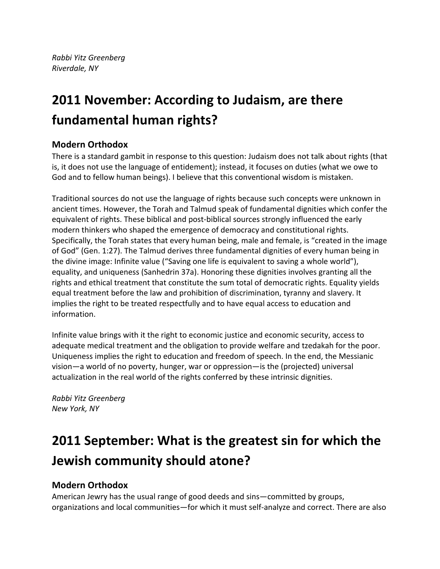# **2011 November: According to Judaism, are there fundamental human rights?**

### **Modern Orthodox**

There is a standard gambit in response to this question: Judaism does not talk about rights (that is, it does not use the language of entidement); instead, it focuses on duties (what we owe to God and to fellow human beings). I believe that this conventional wisdom is mistaken.

Traditional sources do not use the language of rights because such concepts were unknown in ancient times. However, the Torah and Talmud speak of fundamental dignities which confer the equivalent of rights. These biblical and post-biblical sources strongly influenced the early modern thinkers who shaped the emergence of democracy and constitutional rights. Specifically, the Torah states that every human being, male and female, is "created in the image of God" (Gen. 1:27). The Talmud derives three fundamental dignities of every human being in the divine image: Infinite value ("Saving one life is equivalent to saving a whole world"), equality, and uniqueness (Sanhedrin 37a). Honoring these dignities involves granting all the rights and ethical treatment that constitute the sum total of democratic rights. Equality yields equal treatment before the law and prohibition of discrimination, tyranny and slavery. It implies the right to be treated respectfully and to have equal access to education and information.

Infinite value brings with it the right to economic justice and economic security, access to adequate medical treatment and the obligation to provide welfare and tzedakah for the poor. Uniqueness implies the right to education and freedom of speech. In the end, the Messianic vision—a world of no poverty, hunger, war or oppression—is the (projected) universal actualization in the real world of the rights conferred by these intrinsic dignities.

*Rabbi Yitz Greenberg New York, NY*

# **2011 September: What is the greatest sin for which the Jewish community should atone?**

### **Modern Orthodox**

American Jewry has the usual range of good deeds and sins—committed by groups, organizations and local communities—for which it must self-analyze and correct. There are also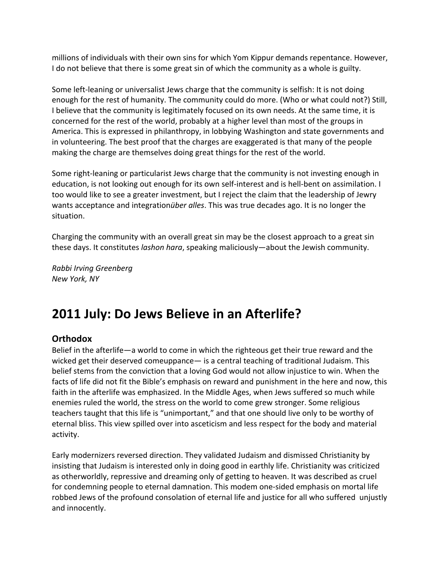millions of individuals with their own sins for which Yom Kippur demands repentance. However, I do not believe that there is some great sin of which the community as a whole is guilty.

Some left-leaning or universalist Jews charge that the community is selfish: It is not doing enough for the rest of humanity. The community could do more. (Who or what could not?) Still, I believe that the community is legitimately focused on its own needs. At the same time, it is concerned for the rest of the world, probably at a higher level than most of the groups in America. This is expressed in philanthropy, in lobbying Washington and state governments and in volunteering. The best proof that the charges are exaggerated is that many of the people making the charge are themselves doing great things for the rest of the world.

Some right-leaning or particularist Jews charge that the community is not investing enough in education, is not looking out enough for its own self-interest and is hell-bent on assimilation. I too would like to see a greater investment, but I reject the claim that the leadership of Jewry wants acceptance and integration*über alles*. This was true decades ago. It is no longer the situation.

Charging the community with an overall great sin may be the closest approach to a great sin these days. It constitutes *lashon hara*, speaking maliciously—about the Jewish community.

*Rabbi Irving Greenberg New York, NY*

## **2011 July: Do Jews Believe in an Afterlife?**

#### **Orthodox**

Belief in the afterlife—a world to come in which the righteous get their true reward and the wicked get their deserved comeuppance— is a central teaching of traditional Judaism. This belief stems from the conviction that a loving God would not allow injustice to win. When the facts of life did not fit the Bible's emphasis on reward and punishment in the here and now, this faith in the afterlife was emphasized. In the Middle Ages, when Jews suffered so much while enemies ruled the world, the stress on the world to come grew stronger. Some religious teachers taught that this life is "unimportant," and that one should live only to be worthy of eternal bliss. This view spilled over into asceticism and less respect for the body and material activity.

Early modernizers reversed direction. They validated Judaism and dismissed Christianity by insisting that Judaism is interested only in doing good in earthly life. Christianity was criticized as otherworldly, repressive and dreaming only of getting to heaven. It was described as cruel for condemning people to eternal damnation. This modem one-sided emphasis on mortal life robbed Jews of the profound consolation of eternal life and justice for all who suffered unjustly and innocently.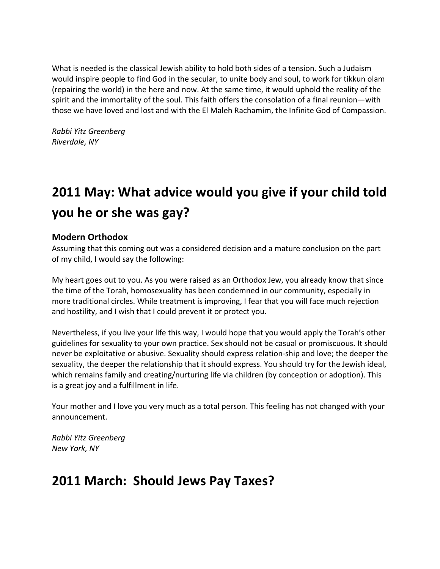What is needed is the classical Jewish ability to hold both sides of a tension. Such a Judaism would inspire people to find God in the secular, to unite body and soul, to work for tikkun olam (repairing the world) in the here and now. At the same time, it would uphold the reality of the spirit and the immortality of the soul. This faith offers the consolation of a final reunion—with those we have loved and lost and with the El Maleh Rachamim, the Infinite God of Compassion.

*Rabbi Yitz Greenberg Riverdale, NY*

# **2011 May: What advice would you give if your child told you** he or she was gay?

### **Modern Orthodox**

Assuming that this coming out was a considered decision and a mature conclusion on the part of my child, I would say the following:

My heart goes out to you. As you were raised as an Orthodox Jew, you already know that since the time of the Torah, homosexuality has been condemned in our community, especially in more traditional circles. While treatment is improving, I fear that you will face much rejection and hostility, and I wish that I could prevent it or protect you.

Nevertheless, if you live your life this way, I would hope that you would apply the Torah's other guidelines for sexuality to your own practice. Sex should not be casual or promiscuous. It should never be exploitative or abusive. Sexuality should express relation-ship and love; the deeper the sexuality, the deeper the relationship that it should express. You should try for the Jewish ideal, which remains family and creating/nurturing life via children (by conception or adoption). This is a great joy and a fulfillment in life.

Your mother and I love you very much as a total person. This feeling has not changed with your announcement.

*Rabbi Yitz Greenberg New York, NY*

### **2011 March: Should Jews Pay Taxes?**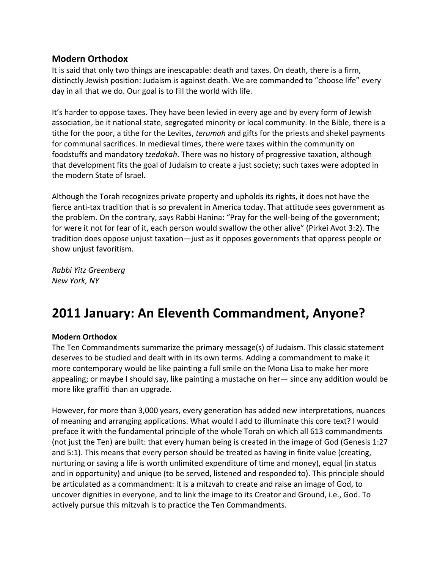### **Modern Orthodox**

It is said that only two things are inescapable: death and taxes. On death, there is a firm, distinctly Jewish position: Judaism is against death. We are commanded to "choose life" every day in all that we do. Our goal is to fill the world with life.

It's harder to oppose taxes. They have been levied in every age and by every form of Jewish association, be it national state, segregated minority or local community. In the Bible, there is a tithe for the poor, a tithe for the Levites, *terumah* and gifts for the priests and shekel payments for communal sacrifices. In medieval times, there were taxes within the community on foodstuffs and mandatory *tzedakah*. There was no history of progressive taxation, although that development fits the goal of Judaism to create a just society; such taxes were adopted in the modern State of Israel.

Although the Torah recognizes private property and upholds its rights, it does not have the fierce anti-tax tradition that is so prevalent in America today. That attitude sees government as the problem. On the contrary, says Rabbi Hanina: "Pray for the well-being of the government; for were it not for fear of it, each person would swallow the other alive" (Pirkei Avot 3:2). The tradition does oppose unjust taxation—just as it opposes governments that oppress people or show unjust favoritism.

*Rabbi Yitz Greenberg New York, NY*

## **2011 January: An Eleventh Commandment, Anyone?**

#### **Modern Orthodox**

The Ten Commandments summarize the primary message(s) of Judaism. This classic statement deserves to be studied and dealt with in its own terms. Adding a commandment to make it more contemporary would be like painting a full smile on the Mona Lisa to make her more appealing; or maybe I should say, like painting a mustache on her- since any addition would be more like graffiti than an upgrade.

However, for more than 3,000 years, every generation has added new interpretations, nuances of meaning and arranging applications. What would I add to illuminate this core text? I would preface it with the fundamental principle of the whole Torah on which all 613 commandments (not just the Ten) are built: that every human being is created in the image of God (Genesis 1:27 and 5:1). This means that every person should be treated as having in finite value (creating, nurturing or saving a life is worth unlimited expenditure of time and money), equal (in status and in opportunity) and unique (to be served, listened and responded to). This principle should be articulated as a commandment: It is a mitzvah to create and raise an image of God, to uncover dignities in everyone, and to link the image to its Creator and Ground, i.e., God. To actively pursue this mitzvah is to practice the Ten Commandments.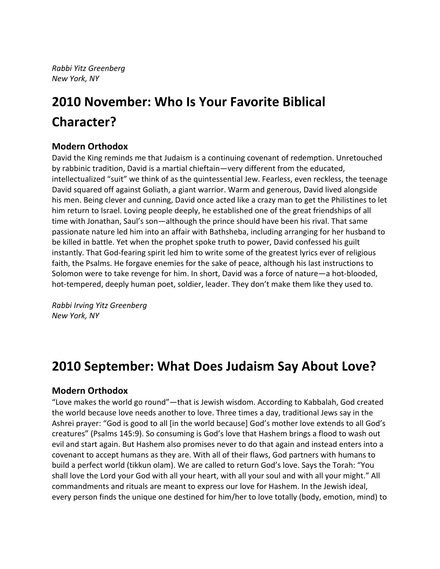*Rabbi Yitz Greenberg New York, NY*

# **2010 November: Who Is Your Favorite Biblical Character?**

### **Modern Orthodox**

David the King reminds me that Judaism is a continuing covenant of redemption. Unretouched by rabbinic tradition, David is a martial chieftain—very different from the educated, intellectualized "suit" we think of as the quintessential Jew. Fearless, even reckless, the teenage David squared off against Goliath, a giant warrior. Warm and generous, David lived alongside his men. Being clever and cunning, David once acted like a crazy man to get the Philistines to let him return to Israel. Loving people deeply, he established one of the great friendships of all time with Jonathan, Saul's son-although the prince should have been his rival. That same passionate nature led him into an affair with Bathsheba, including arranging for her husband to be killed in battle. Yet when the prophet spoke truth to power, David confessed his guilt instantly. That God-fearing spirit led him to write some of the greatest lyrics ever of religious faith, the Psalms. He forgave enemies for the sake of peace, although his last instructions to Solomon were to take revenge for him. In short, David was a force of nature—a hot-blooded, hot-tempered, deeply human poet, soldier, leader. They don't make them like they used to.

*Rabbi Irving Yitz Greenberg New York, NY*

## **2010 September: What Does Judaism Say About Love?**

#### **Modern Orthodox**

"Love makes the world go round"—that is Jewish wisdom. According to Kabbalah, God created the world because love needs another to love. Three times a day, traditional Jews say in the Ashrei prayer: "God is good to all [in the world because] God's mother love extends to all God's creatures" (Psalms 145:9). So consuming is God's love that Hashem brings a flood to wash out evil and start again. But Hashem also promises never to do that again and instead enters into a covenant to accept humans as they are. With all of their flaws, God partners with humans to build a perfect world (tikkun olam). We are called to return God's love. Says the Torah: "You shall love the Lord your God with all your heart, with all your soul and with all your might." All commandments and rituals are meant to express our love for Hashem. In the Jewish ideal, every person finds the unique one destined for him/her to love totally (body, emotion, mind) to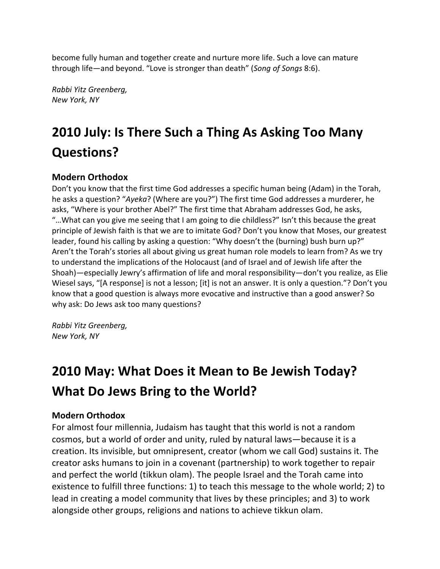become fully human and together create and nurture more life. Such a love can mature through life—and beyond. "Love is stronger than death" (*Song of Songs* 8:6).

*Rabbi Yitz Greenberg, New York, NY*

# **2010 July: Is There Such a Thing As Asking Too Many Questions?**

### **Modern Orthodox**

Don't you know that the first time God addresses a specific human being (Adam) in the Torah, he asks a question? "*Ayeka*? (Where are you?") The first time God addresses a murderer, he asks, "Where is your brother Abel?" The first time that Abraham addresses God, he asks, "...What can you give me seeing that I am going to die childless?" Isn't this because the great principle of Jewish faith is that we are to imitate God? Don't you know that Moses, our greatest leader, found his calling by asking a question: "Why doesn't the (burning) bush burn up?" Aren't the Torah's stories all about giving us great human role models to learn from? As we try to understand the implications of the Holocaust (and of Israel and of Jewish life after the Shoah)—especially Jewry's affirmation of life and moral responsibility—don't you realize, as Elie Wiesel says, "[A response] is not a lesson; [it] is not an answer. It is only a question."? Don't you know that a good question is always more evocative and instructive than a good answer? So why ask: Do Jews ask too many questions?

*Rabbi Yitz Greenberg, New York, NY*

# **2010 May: What Does it Mean to Be Jewish Today? What Do Jews Bring to the World?**

#### **Modern Orthodox**

For almost four millennia, Judaism has taught that this world is not a random cosmos, but a world of order and unity, ruled by natural laws—because it is a creation. Its invisible, but omnipresent, creator (whom we call God) sustains it. The creator asks humans to join in a covenant (partnership) to work together to repair and perfect the world (tikkun olam). The people Israel and the Torah came into existence to fulfill three functions: 1) to teach this message to the whole world; 2) to lead in creating a model community that lives by these principles; and 3) to work alongside other groups, religions and nations to achieve tikkun olam.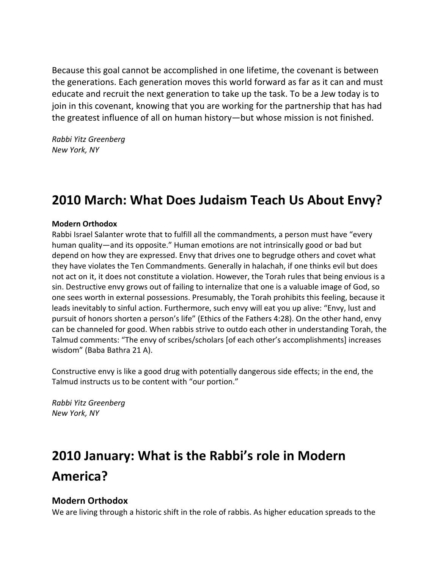Because this goal cannot be accomplished in one lifetime, the covenant is between the generations. Each generation moves this world forward as far as it can and must educate and recruit the next generation to take up the task. To be a Jew today is to join in this covenant, knowing that you are working for the partnership that has had the greatest influence of all on human history—but whose mission is not finished.

*Rabbi Yitz Greenberg New York, NY*

## **2010 March: What Does Judaism Teach Us About Envy?**

#### **Modern Orthodox**

Rabbi Israel Salanter wrote that to fulfill all the commandments, a person must have "every human quality—and its opposite." Human emotions are not intrinsically good or bad but depend on how they are expressed. Envy that drives one to begrudge others and covet what they have violates the Ten Commandments. Generally in halachah, if one thinks evil but does not act on it, it does not constitute a violation. However, the Torah rules that being envious is a sin. Destructive envy grows out of failing to internalize that one is a valuable image of God, so one sees worth in external possessions. Presumably, the Torah prohibits this feeling, because it leads inevitably to sinful action. Furthermore, such envy will eat you up alive: "Envy, lust and pursuit of honors shorten a person's life" (Ethics of the Fathers 4:28). On the other hand, envy can be channeled for good. When rabbis strive to outdo each other in understanding Torah, the Talmud comments: "The envy of scribes/scholars [of each other's accomplishments] increases wisdom" (Baba Bathra 21 A).

Constructive envy is like a good drug with potentially dangerous side effects; in the end, the Talmud instructs us to be content with "our portion."

*Rabbi Yitz Greenberg New York, NY*

# **2010 January: What is the Rabbi's role in Modern America?**

#### **Modern Orthodox**

We are living through a historic shift in the role of rabbis. As higher education spreads to the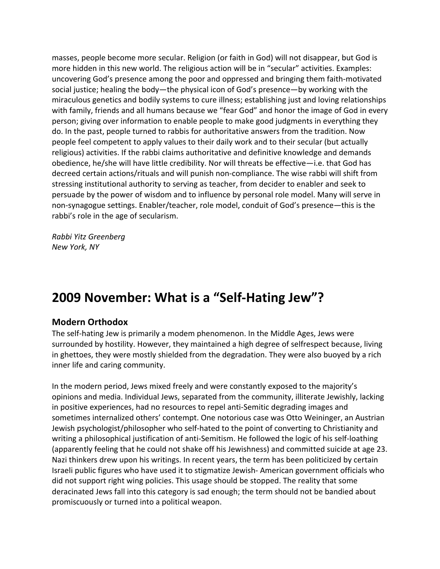masses, people become more secular. Religion (or faith in God) will not disappear, but God is more hidden in this new world. The religious action will be in "secular" activities. Examples: uncovering God's presence among the poor and oppressed and bringing them faith-motivated social justice; healing the body—the physical icon of God's presence—by working with the miraculous genetics and bodily systems to cure illness; establishing just and loving relationships with family, friends and all humans because we "fear God" and honor the image of God in every person; giving over information to enable people to make good judgments in everything they do. In the past, people turned to rabbis for authoritative answers from the tradition. Now people feel competent to apply values to their daily work and to their secular (but actually religious) activities. If the rabbi claims authoritative and definitive knowledge and demands obedience, he/she will have little credibility. Nor will threats be effective—i.e. that God has decreed certain actions/rituals and will punish non-compliance. The wise rabbi will shift from stressing institutional authority to serving as teacher, from decider to enabler and seek to persuade by the power of wisdom and to influence by personal role model. Many will serve in non-synagogue settings. Enabler/teacher, role model, conduit of God's presence—this is the rabbi's role in the age of secularism.

*Rabbi Yitz Greenberg New York, NY*

## **2009 November: What is a "Self-Hating Jew"?**

#### **Modern Orthodox**

The self-hating Jew is primarily a modem phenomenon. In the Middle Ages, Jews were surrounded by hostility. However, they maintained a high degree of selfrespect because, living in ghettoes, they were mostly shielded from the degradation. They were also buoyed by a rich inner life and caring community.

In the modern period, Jews mixed freely and were constantly exposed to the majority's opinions and media. Individual Jews, separated from the community, illiterate Jewishly, lacking in positive experiences, had no resources to repel anti-Semitic degrading images and sometimes internalized others' contempt. One notorious case was Otto Weininger, an Austrian Jewish psychologist/philosopher who self-hated to the point of converting to Christianity and writing a philosophical justification of anti-Semitism. He followed the logic of his self-loathing (apparently feeling that he could not shake off his Jewishness) and committed suicide at age 23. Nazi thinkers drew upon his writings. In recent years, the term has been politicized by certain Israeli public figures who have used it to stigmatize Jewish- American government officials who did not support right wing policies. This usage should be stopped. The reality that some deracinated Jews fall into this category is sad enough; the term should not be bandied about promiscuously or turned into a political weapon.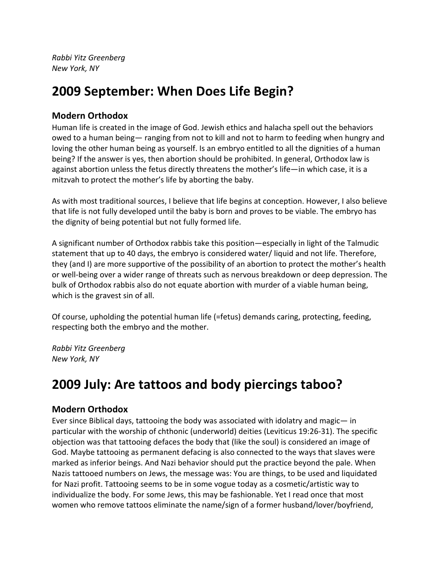*Rabbi Yitz Greenberg New York, NY*

## **2009 September: When Does Life Begin?**

#### **Modern Orthodox**

Human life is created in the image of God. Jewish ethics and halacha spell out the behaviors owed to a human being— ranging from not to kill and not to harm to feeding when hungry and loving the other human being as yourself. Is an embryo entitled to all the dignities of a human being? If the answer is yes, then abortion should be prohibited. In general, Orthodox law is against abortion unless the fetus directly threatens the mother's life—in which case, it is a mitzvah to protect the mother's life by aborting the baby.

As with most traditional sources, I believe that life begins at conception. However, I also believe that life is not fully developed until the baby is born and proves to be viable. The embryo has the dignity of being potential but not fully formed life.

A significant number of Orthodox rabbis take this position—especially in light of the Talmudic statement that up to 40 days, the embryo is considered water/ liquid and not life. Therefore, they (and I) are more supportive of the possibility of an abortion to protect the mother's health or well-being over a wider range of threats such as nervous breakdown or deep depression. The bulk of Orthodox rabbis also do not equate abortion with murder of a viable human being, which is the gravest sin of all.

Of course, upholding the potential human life (=fetus) demands caring, protecting, feeding, respecting both the embryo and the mother.

*Rabbi Yitz Greenberg New York, NY*

## **2009 July: Are tattoos and body piercings taboo?**

### **Modern Orthodox**

Ever since Biblical days, tattooing the body was associated with idolatry and magic— in particular with the worship of chthonic (underworld) deities (Leviticus 19:26-31). The specific objection was that tattooing defaces the body that (like the soul) is considered an image of God. Maybe tattooing as permanent defacing is also connected to the ways that slaves were marked as inferior beings. And Nazi behavior should put the practice beyond the pale. When Nazis tattooed numbers on Jews, the message was: You are things, to be used and liquidated for Nazi profit. Tattooing seems to be in some vogue today as a cosmetic/artistic way to individualize the body. For some Jews, this may be fashionable. Yet I read once that most women who remove tattoos eliminate the name/sign of a former husband/lover/boyfriend,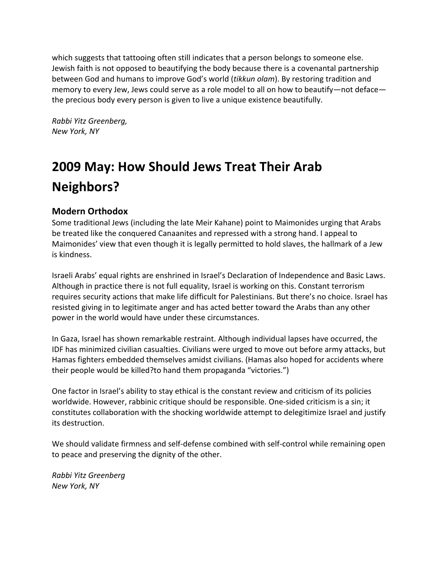which suggests that tattooing often still indicates that a person belongs to someone else. Jewish faith is not opposed to beautifying the body because there is a covenantal partnership between God and humans to improve God's world (*tikkun olam*). By restoring tradition and memory to every Jew, Jews could serve as a role model to all on how to beautify—not deface the precious body every person is given to live a unique existence beautifully.

*Rabbi Yitz Greenberg, New York, NY*

# **2009 May: How Should Jews Treat Their Arab Neighbors?**

#### **Modern Orthodox**

Some traditional Jews (including the late Meir Kahane) point to Maimonides urging that Arabs be treated like the conquered Canaanites and repressed with a strong hand. I appeal to Maimonides' view that even though it is legally permitted to hold slaves, the hallmark of a Jew is kindness.

Israeli Arabs' equal rights are enshrined in Israel's Declaration of Independence and Basic Laws. Although in practice there is not full equality, Israel is working on this. Constant terrorism requires security actions that make life difficult for Palestinians. But there's no choice. Israel has resisted giving in to legitimate anger and has acted better toward the Arabs than any other power in the world would have under these circumstances.

In Gaza, Israel has shown remarkable restraint. Although individual lapses have occurred, the IDF has minimized civilian casualties. Civilians were urged to move out before army attacks, but Hamas fighters embedded themselves amidst civilians. (Hamas also hoped for accidents where their people would be killed?to hand them propaganda "victories.")

One factor in Israel's ability to stay ethical is the constant review and criticism of its policies worldwide. However, rabbinic critique should be responsible. One-sided criticism is a sin; it constitutes collaboration with the shocking worldwide attempt to delegitimize Israel and justify its destruction.

We should validate firmness and self-defense combined with self-control while remaining open to peace and preserving the dignity of the other.

*Rabbi Yitz Greenberg New York, NY*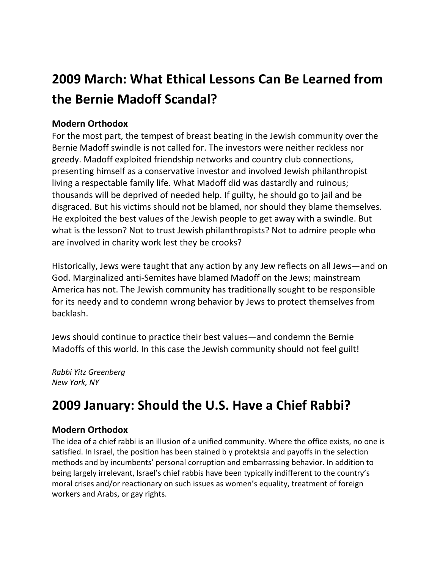# **2009 March: What Ethical Lessons Can Be Learned from the Bernie Madoff Scandal?**

### **Modern Orthodox**

For the most part, the tempest of breast beating in the Jewish community over the Bernie Madoff swindle is not called for. The investors were neither reckless nor greedy. Madoff exploited friendship networks and country club connections, presenting himself as a conservative investor and involved Jewish philanthropist living a respectable family life. What Madoff did was dastardly and ruinous; thousands will be deprived of needed help. If guilty, he should go to jail and be disgraced. But his victims should not be blamed, nor should they blame themselves. He exploited the best values of the Jewish people to get away with a swindle. But what is the lesson? Not to trust Jewish philanthropists? Not to admire people who are involved in charity work lest they be crooks?

Historically, Jews were taught that any action by any Jew reflects on all Jews—and on God. Marginalized anti-Semites have blamed Madoff on the Jews; mainstream America has not. The Jewish community has traditionally sought to be responsible for its needy and to condemn wrong behavior by Jews to protect themselves from backlash.

Jews should continue to practice their best values—and condemn the Bernie Madoffs of this world. In this case the Jewish community should not feel guilt!

*Rabbi Yitz Greenberg New York, NY*

## **2009 January: Should the U.S. Have a Chief Rabbi?**

### **Modern Orthodox**

The idea of a chief rabbi is an illusion of a unified community. Where the office exists, no one is satisfied. In Israel, the position has been stained b y protektsia and payoffs in the selection methods and by incumbents' personal corruption and embarrassing behavior. In addition to being largely irrelevant, Israel's chief rabbis have been typically indifferent to the country's moral crises and/or reactionary on such issues as women's equality, treatment of foreign workers and Arabs, or gay rights.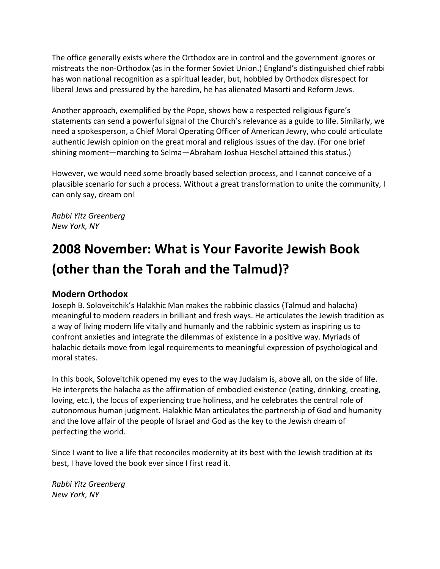The office generally exists where the Orthodox are in control and the government ignores or mistreats the non-Orthodox (as in the former Soviet Union.) England's distinguished chief rabbi has won national recognition as a spiritual leader, but, hobbled by Orthodox disrespect for liberal Jews and pressured by the haredim, he has alienated Masorti and Reform Jews.

Another approach, exemplified by the Pope, shows how a respected religious figure's statements can send a powerful signal of the Church's relevance as a guide to life. Similarly, we need a spokesperson, a Chief Moral Operating Officer of American Jewry, who could articulate authentic Jewish opinion on the great moral and religious issues of the day. (For one brief shining moment—marching to Selma—Abraham Joshua Heschel attained this status.)

However, we would need some broadly based selection process, and I cannot conceive of a plausible scenario for such a process. Without a great transformation to unite the community, I can only say, dream on!

*Rabbi Yitz Greenberg New York, NY*

## **2008 November: What is Your Favorite Jewish Book (other than the Torah and the Talmud)?**

#### **Modern Orthodox**

Joseph B. Soloveitchik's Halakhic Man makes the rabbinic classics (Talmud and halacha) meaningful to modern readers in brilliant and fresh ways. He articulates the Jewish tradition as a way of living modern life vitally and humanly and the rabbinic system as inspiring us to confront anxieties and integrate the dilemmas of existence in a positive way. Myriads of halachic details move from legal requirements to meaningful expression of psychological and moral states.

In this book, Soloveitchik opened my eyes to the way Judaism is, above all, on the side of life. He interprets the halacha as the affirmation of embodied existence (eating, drinking, creating, loving, etc.), the locus of experiencing true holiness, and he celebrates the central role of autonomous human judgment. Halakhic Man articulates the partnership of God and humanity and the love affair of the people of Israel and God as the key to the Jewish dream of perfecting the world.

Since I want to live a life that reconciles modernity at its best with the Jewish tradition at its best, I have loved the book ever since I first read it.

*Rabbi Yitz Greenberg New York, NY*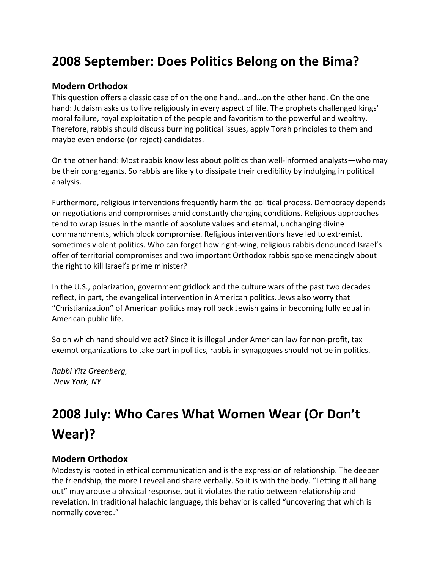## **2008 September: Does Politics Belong on the Bima?**

#### **Modern Orthodox**

This question offers a classic case of on the one hand...and...on the other hand. On the one hand: Judaism asks us to live religiously in every aspect of life. The prophets challenged kings' moral failure, royal exploitation of the people and favoritism to the powerful and wealthy. Therefore, rabbis should discuss burning political issues, apply Torah principles to them and maybe even endorse (or reject) candidates.

On the other hand: Most rabbis know less about politics than well-informed analysts—who may be their congregants. So rabbis are likely to dissipate their credibility by indulging in political analysis.

Furthermore, religious interventions frequently harm the political process. Democracy depends on negotiations and compromises amid constantly changing conditions. Religious approaches tend to wrap issues in the mantle of absolute values and eternal, unchanging divine commandments, which block compromise. Religious interventions have led to extremist, sometimes violent politics. Who can forget how right-wing, religious rabbis denounced Israel's offer of territorial compromises and two important Orthodox rabbis spoke menacingly about the right to kill Israel's prime minister?

In the U.S., polarization, government gridlock and the culture wars of the past two decades reflect, in part, the evangelical intervention in American politics. Jews also worry that "Christianization" of American politics may roll back Jewish gains in becoming fully equal in American public life.

So on which hand should we act? Since it is illegal under American law for non-profit, tax exempt organizations to take part in politics, rabbis in synagogues should not be in politics.

*Rabbi Yitz Greenberg, New York, NY*

# **2008 July: Who Cares What Women Wear (Or Don't Wear)?**

#### **Modern Orthodox**

Modesty is rooted in ethical communication and is the expression of relationship. The deeper the friendship, the more I reveal and share verbally. So it is with the body. "Letting it all hang out" may arouse a physical response, but it violates the ratio between relationship and revelation. In traditional halachic language, this behavior is called "uncovering that which is normally covered."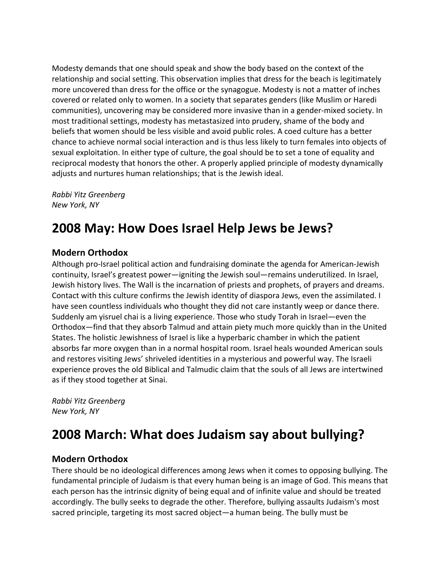Modesty demands that one should speak and show the body based on the context of the relationship and social setting. This observation implies that dress for the beach is legitimately more uncovered than dress for the office or the synagogue. Modesty is not a matter of inches covered or related only to women. In a society that separates genders (like Muslim or Haredi communities), uncovering may be considered more invasive than in a gender-mixed society. In most traditional settings, modesty has metastasized into prudery, shame of the body and beliefs that women should be less visible and avoid public roles. A coed culture has a better chance to achieve normal social interaction and is thus less likely to turn females into objects of sexual exploitation. In either type of culture, the goal should be to set a tone of equality and reciprocal modesty that honors the other. A properly applied principle of modesty dynamically adjusts and nurtures human relationships; that is the Jewish ideal.

*Rabbi Yitz Greenberg New York, NY*

## **2008 May: How Does Israel Help Jews be Jews?**

### **Modern Orthodox**

Although pro-Israel political action and fundraising dominate the agenda for American-Jewish continuity, Israel's greatest power—igniting the Jewish soul—remains underutilized. In Israel, Jewish history lives. The Wall is the incarnation of priests and prophets, of prayers and dreams. Contact with this culture confirms the Jewish identity of diaspora Jews, even the assimilated. I have seen countless individuals who thought they did not care instantly weep or dance there. Suddenly am yisruel chai is a living experience. Those who study Torah in Israel—even the Orthodox—find that they absorb Talmud and attain piety much more quickly than in the United States. The holistic Jewishness of Israel is like a hyperbaric chamber in which the patient absorbs far more oxygen than in a normal hospital room. Israel heals wounded American souls and restores visiting Jews' shriveled identities in a mysterious and powerful way. The Israeli experience proves the old Biblical and Talmudic claim that the souls of all Jews are intertwined as if they stood together at Sinai.

*Rabbi Yitz Greenberg New York, NY*

## **2008 March: What does Judaism say about bullying?**

#### **Modern Orthodox**

There should be no ideological differences among Jews when it comes to opposing bullying. The fundamental principle of Judaism is that every human being is an image of God. This means that each person has the intrinsic dignity of being equal and of infinite value and should be treated accordingly. The bully seeks to degrade the other. Therefore, bullying assaults Judaism's most sacred principle, targeting its most sacred object—a human being. The bully must be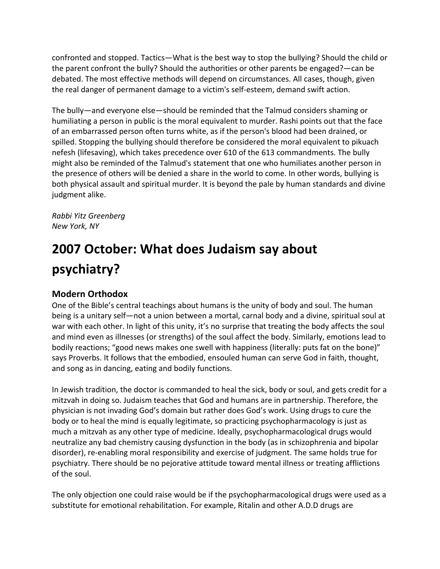confronted and stopped. Tactics—What is the best way to stop the bullying? Should the child or the parent confront the bully? Should the authorities or other parents be engaged?—can be debated. The most effective methods will depend on circumstances. All cases, though, given the real danger of permanent damage to a victim's self-esteem, demand swift action.

The bully—and everyone else—should be reminded that the Talmud considers shaming or humiliating a person in public is the moral equivalent to murder. Rashi points out that the face of an embarrassed person often turns white, as if the person's blood had been drained, or spilled. Stopping the bullying should therefore be considered the moral equivalent to pikuach nefesh (lifesaving), which takes precedence over 610 of the 613 commandments. The bully might also be reminded of the Talmud's statement that one who humiliates another person in the presence of others will be denied a share in the world to come. In other words, bullying is both physical assault and spiritual murder. It is beyond the pale by human standards and divine judgment alike.

*Rabbi Yitz Greenberg New York, NY*

# **2007 October: What does Judaism say about psychiatry?**

### **Modern Orthodox**

One of the Bible's central teachings about humans is the unity of body and soul. The human being is a unitary self-not a union between a mortal, carnal body and a divine, spiritual soul at war with each other. In light of this unity, it's no surprise that treating the body affects the soul and mind even as illnesses (or strengths) of the soul affect the body. Similarly, emotions lead to bodily reactions; "good news makes one swell with happiness (literally: puts fat on the bone)" says Proverbs. It follows that the embodied, ensouled human can serve God in faith, thought, and song as in dancing, eating and bodily functions.

In Jewish tradition, the doctor is commanded to heal the sick, body or soul, and gets credit for a mitzvah in doing so. Judaism teaches that God and humans are in partnership. Therefore, the physician is not invading God's domain but rather does God's work. Using drugs to cure the body or to heal the mind is equally legitimate, so practicing psychopharmacology is just as much a mitzvah as any other type of medicine. Ideally, psychopharmacological drugs would neutralize any bad chemistry causing dysfunction in the body (as in schizophrenia and bipolar disorder), re-enabling moral responsibility and exercise of judgment. The same holds true for psychiatry. There should be no pejorative attitude toward mental illness or treating afflictions of the soul.

The only objection one could raise would be if the psychopharmacological drugs were used as a substitute for emotional rehabilitation. For example, Ritalin and other A.D.D drugs are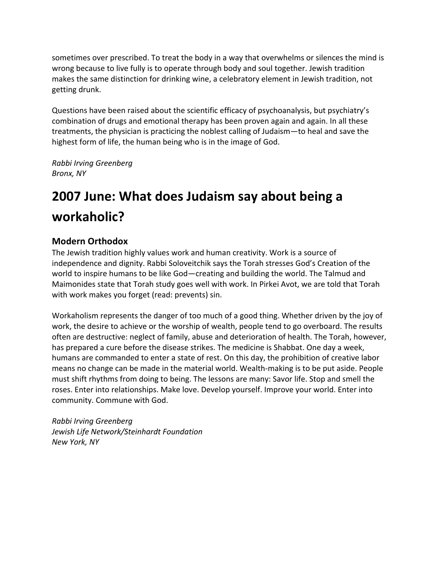sometimes over prescribed. To treat the body in a way that overwhelms or silences the mind is wrong because to live fully is to operate through body and soul together. Jewish tradition makes the same distinction for drinking wine, a celebratory element in Jewish tradition, not getting drunk.

Questions have been raised about the scientific efficacy of psychoanalysis, but psychiatry's combination of drugs and emotional therapy has been proven again and again. In all these treatments, the physician is practicing the noblest calling of Judaism—to heal and save the highest form of life, the human being who is in the image of God.

*Rabbi Irving Greenberg Bronx, NY*

# **2007 June: What does Judaism say about being a workaholic?**

### **Modern Orthodox**

The Jewish tradition highly values work and human creativity. Work is a source of independence and dignity. Rabbi Soloveitchik says the Torah stresses God's Creation of the world to inspire humans to be like God—creating and building the world. The Talmud and Maimonides state that Torah study goes well with work. In Pirkei Avot, we are told that Torah with work makes you forget (read: prevents) sin.

Workaholism represents the danger of too much of a good thing. Whether driven by the joy of work, the desire to achieve or the worship of wealth, people tend to go overboard. The results often are destructive: neglect of family, abuse and deterioration of health. The Torah, however, has prepared a cure before the disease strikes. The medicine is Shabbat. One day a week, humans are commanded to enter a state of rest. On this day, the prohibition of creative labor means no change can be made in the material world. Wealth-making is to be put aside. People must shift rhythms from doing to being. The lessons are many: Savor life. Stop and smell the roses. Enter into relationships. Make love. Develop yourself. Improve your world. Enter into community. Commune with God.

*Rabbi Irving Greenberg Jewish Life Network/Steinhardt Foundation New York, NY*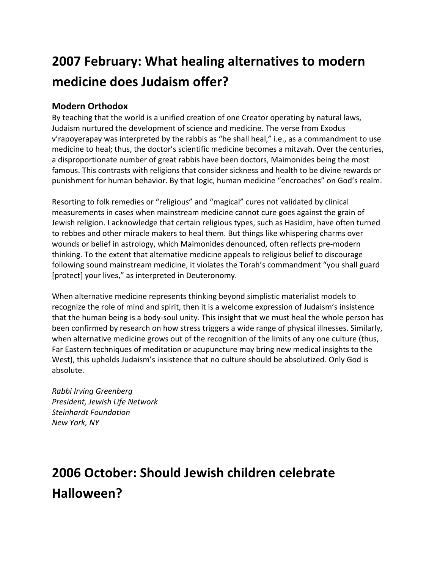# **2007 February: What healing alternatives to modern** medicine does Judaism offer?

### **Modern Orthodox**

By teaching that the world is a unified creation of one Creator operating by natural laws, Judaism nurtured the development of science and medicine. The verse from Exodus v'rapoyerapay was interpreted by the rabbis as "he shall heal," i.e., as a commandment to use medicine to heal; thus, the doctor's scientific medicine becomes a mitzvah. Over the centuries, a disproportionate number of great rabbis have been doctors, Maimonides being the most famous. This contrasts with religions that consider sickness and health to be divine rewards or punishment for human behavior. By that logic, human medicine "encroaches" on God's realm.

Resorting to folk remedies or "religious" and "magical" cures not validated by clinical measurements in cases when mainstream medicine cannot cure goes against the grain of Jewish religion. I acknowledge that certain religious types, such as Hasidim, have often turned to rebbes and other miracle makers to heal them. But things like whispering charms over wounds or belief in astrology, which Maimonides denounced, often reflects pre-modern thinking. To the extent that alternative medicine appeals to religious belief to discourage following sound mainstream medicine, it violates the Torah's commandment "you shall guard [protect] your lives," as interpreted in Deuteronomy.

When alternative medicine represents thinking beyond simplistic materialist models to recognize the role of mind and spirit, then it is a welcome expression of Judaism's insistence that the human being is a body-soul unity. This insight that we must heal the whole person has been confirmed by research on how stress triggers a wide range of physical illnesses. Similarly, when alternative medicine grows out of the recognition of the limits of any one culture (thus, Far Eastern techniques of meditation or acupuncture may bring new medical insights to the West), this upholds Judaism's insistence that no culture should be absolutized. Only God is absolute.

*Rabbi Irving Greenberg President, Jewish Life Network Steinhardt Foundation New York, NY*

# **2006 October: Should Jewish children celebrate Halloween?**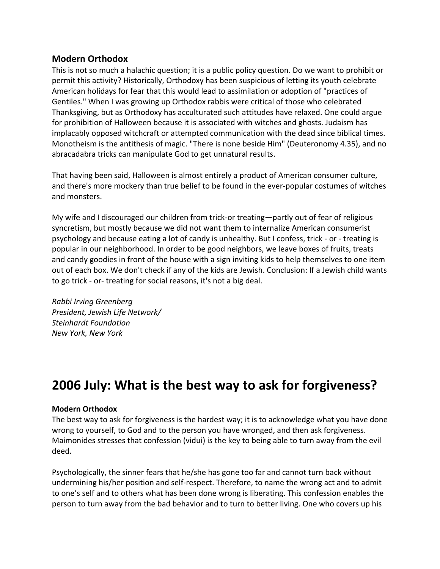#### **Modern Orthodox**

This is not so much a halachic question; it is a public policy question. Do we want to prohibit or permit this activity? Historically, Orthodoxy has been suspicious of letting its youth celebrate American holidays for fear that this would lead to assimilation or adoption of "practices of Gentiles." When I was growing up Orthodox rabbis were critical of those who celebrated Thanksgiving, but as Orthodoxy has acculturated such attitudes have relaxed. One could argue for prohibition of Halloween because it is associated with witches and ghosts. Judaism has implacably opposed witchcraft or attempted communication with the dead since biblical times. Monotheism is the antithesis of magic. "There is none beside Him" (Deuteronomy 4.35), and no abracadabra tricks can manipulate God to get unnatural results.

That having been said, Halloween is almost entirely a product of American consumer culture, and there's more mockery than true belief to be found in the ever-popular costumes of witches and monsters.

My wife and I discouraged our children from trick-or treating—partly out of fear of religious syncretism, but mostly because we did not want them to internalize American consumerist psychology and because eating a lot of candy is unhealthy. But I confess, trick - or - treating is popular in our neighborhood. In order to be good neighbors, we leave boxes of fruits, treats and candy goodies in front of the house with a sign inviting kids to help themselves to one item out of each box. We don't check if any of the kids are Jewish. Conclusion: If a Jewish child wants to go trick - or- treating for social reasons, it's not a big deal.

*Rabbi Irving Greenberg President, Jewish Life Network/ Steinhardt Foundation New York, New York*

## **2006 July: What is the best way to ask for forgiveness?**

#### **Modern Orthodox**

The best way to ask for forgiveness is the hardest way; it is to acknowledge what you have done wrong to yourself, to God and to the person you have wronged, and then ask forgiveness. Maimonides stresses that confession (vidui) is the key to being able to turn away from the evil deed.

Psychologically, the sinner fears that he/she has gone too far and cannot turn back without undermining his/her position and self-respect. Therefore, to name the wrong act and to admit to one's self and to others what has been done wrong is liberating. This confession enables the person to turn away from the bad behavior and to turn to better living. One who covers up his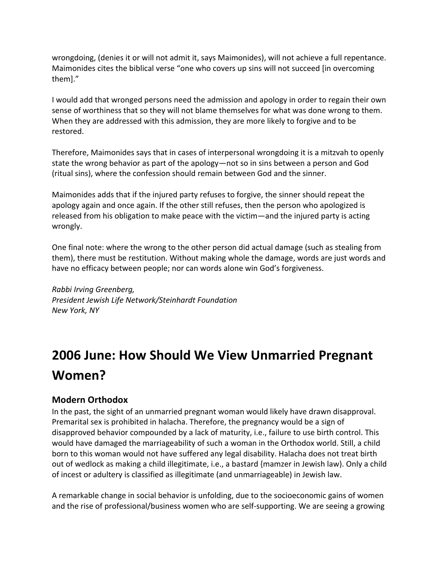wrongdoing, (denies it or will not admit it, says Maimonides), will not achieve a full repentance. Maimonides cites the biblical verse "one who covers up sins will not succeed [in overcoming them]."

I would add that wronged persons need the admission and apology in order to regain their own sense of worthiness that so they will not blame themselves for what was done wrong to them. When they are addressed with this admission, they are more likely to forgive and to be restored.

Therefore, Maimonides says that in cases of interpersonal wrongdoing it is a mitzvah to openly state the wrong behavior as part of the apology—not so in sins between a person and God (ritual sins), where the confession should remain between God and the sinner.

Maimonides adds that if the injured party refuses to forgive, the sinner should repeat the apology again and once again. If the other still refuses, then the person who apologized is released from his obligation to make peace with the victim—and the injured party is acting wrongly.

One final note: where the wrong to the other person did actual damage (such as stealing from them), there must be restitution. Without making whole the damage, words are just words and have no efficacy between people; nor can words alone win God's forgiveness.

*Rabbi Irving Greenberg, President Jewish Life Network/Steinhardt Foundation New York, NY*

# **2006 June: How Should We View Unmarried Pregnant Women?**

#### **Modern Orthodox**

In the past, the sight of an unmarried pregnant woman would likely have drawn disapproval. Premarital sex is prohibited in halacha. Therefore, the pregnancy would be a sign of disapproved behavior compounded by a lack of maturity, i.e., failure to use birth control. This would have damaged the marriageability of such a woman in the Orthodox world. Still, a child born to this woman would not have suffered any legal disability. Halacha does not treat birth out of wedlock as making a child illegitimate, i.e., a bastard {mamzer in Jewish law). Only a child of incest or adultery is classified as illegitimate (and unmarriageable) in Jewish law.

A remarkable change in social behavior is unfolding, due to the socioeconomic gains of women and the rise of professional/business women who are self-supporting. We are seeing a growing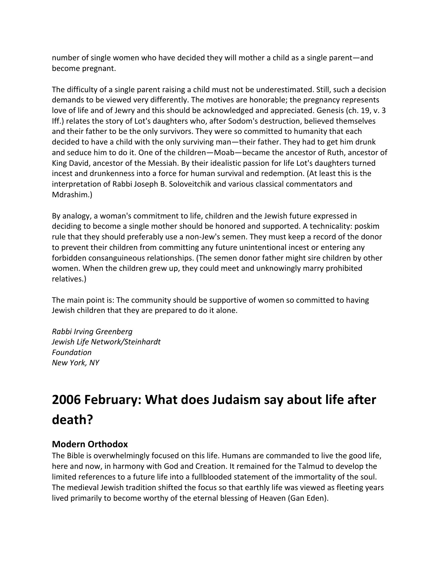number of single women who have decided they will mother a child as a single parent—and become pregnant.

The difficulty of a single parent raising a child must not be underestimated. Still, such a decision demands to be viewed very differently. The motives are honorable; the pregnancy represents love of life and of Jewry and this should be acknowledged and appreciated. Genesis (ch. 19, v. 3 Iff.) relates the story of Lot's daughters who, after Sodom's destruction, believed themselves and their father to be the only survivors. They were so committed to humanity that each decided to have a child with the only surviving man—their father. They had to get him drunk and seduce him to do it. One of the children—Moab—became the ancestor of Ruth, ancestor of King David, ancestor of the Messiah. By their idealistic passion for life Lot's daughters turned incest and drunkenness into a force for human survival and redemption. (At least this is the interpretation of Rabbi Joseph B. Soloveitchik and various classical commentators and Mdrashim.)

By analogy, a woman's commitment to life, children and the Jewish future expressed in deciding to become a single mother should be honored and supported. A technicality: poskim rule that they should preferably use a non-Jew's semen. They must keep a record of the donor to prevent their children from committing any future unintentional incest or entering any forbidden consanguineous relationships. (The semen donor father might sire children by other women. When the children grew up, they could meet and unknowingly marry prohibited relatives.)

The main point is: The community should be supportive of women so committed to having Jewish children that they are prepared to do it alone.

*Rabbi Irving Greenberg Jewish Life Network/Steinhardt Foundation New York, NY*

# **2006 February: What does Judaism say about life after death?**

### **Modern Orthodox**

The Bible is overwhelmingly focused on this life. Humans are commanded to live the good life, here and now, in harmony with God and Creation. It remained for the Talmud to develop the limited references to a future life into a fullblooded statement of the immortality of the soul. The medieval Jewish tradition shifted the focus so that earthly life was viewed as fleeting years lived primarily to become worthy of the eternal blessing of Heaven (Gan Eden).